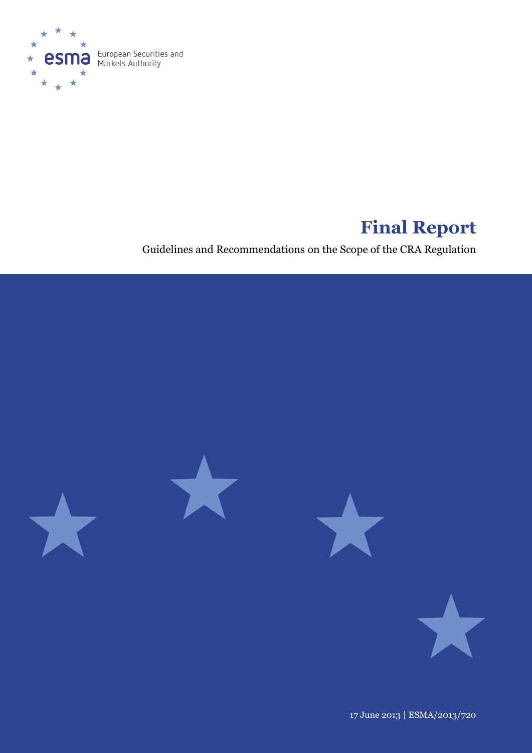

# **Final Report**

Guidelines and Recommendations on the Scope of the CRA Regulation



17 June 2013 | ESMA/2013/720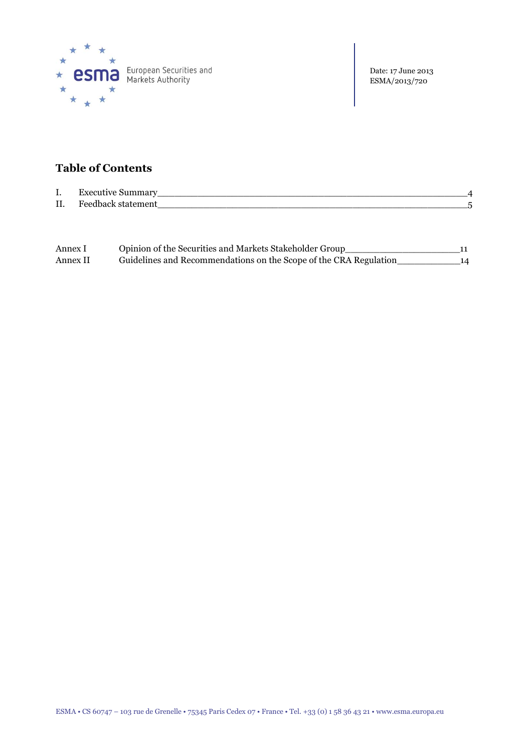

Date: 17 June 2013 ESMA/2013/720

### **Table of Contents**

| I.  | Executive<br>ummary        |  |
|-----|----------------------------|--|
| II. | <b>E</b> eedback statement |  |

| Annex I  | Opinion of the Securities and Markets Stakeholder Group_          |    |
|----------|-------------------------------------------------------------------|----|
| Annex II | Guidelines and Recommendations on the Scope of the CRA Regulation | 14 |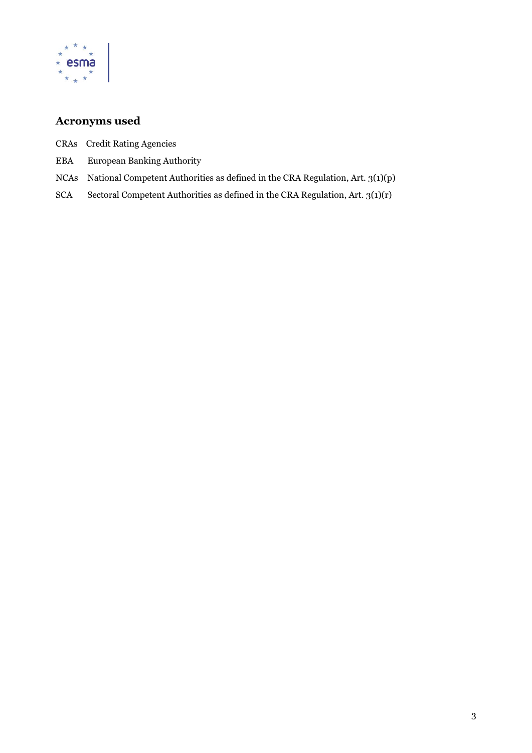

### **Acronyms used**

- CRAs Credit Rating Agencies
- EBA European Banking Authority
- NCAs National Competent Authorities as defined in the CRA Regulation, Art. 3(1)(p)
- SCA Sectoral Competent Authorities as defined in the CRA Regulation, Art. 3(1)(r)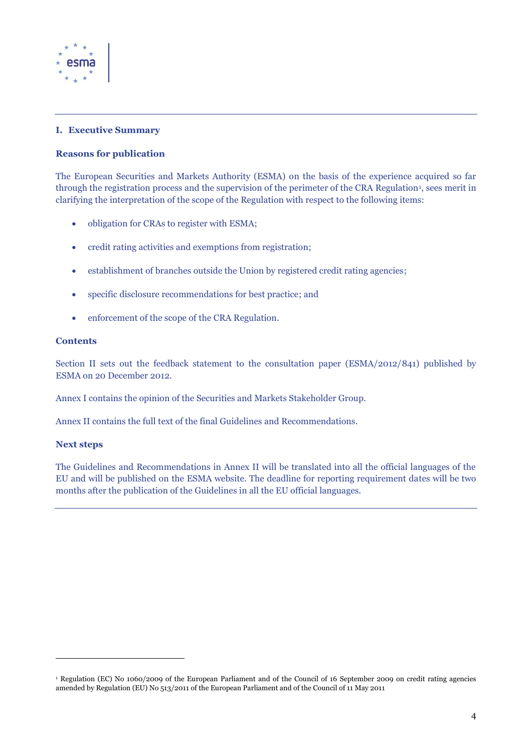

#### **I. Executive Summary**

#### **Reasons for publication**

The European Securities and Markets Authority (ESMA) on the basis of the experience acquired so far through the registration process and the supervision of the perimeter of the CRA Regulation<sup>1</sup>, sees merit in clarifying the interpretation of the scope of the Regulation with respect to the following items:

- obligation for CRAs to register with ESMA;
- credit rating activities and exemptions from registration;
- establishment of branches outside the Union by registered credit rating agencies;
- specific disclosure recommendations for best practice; and
- enforcement of the scope of the CRA Regulation.

#### **Contents**

Section II sets out the feedback statement to the consultation paper (ESMA/2012/841) published by ESMA on 20 December 2012.

Annex I contains the opinion of the Securities and Markets Stakeholder Group.

Annex II contains the full text of the final Guidelines and Recommendations.

#### **Next steps**

 $\overline{a}$ 

The Guidelines and Recommendations in Annex II will be translated into all the official languages of the EU and will be published on the ESMA website. The deadline for reporting requirement dates will be two months after the publication of the Guidelines in all the EU official languages.

<sup>1</sup> Regulation (EC) No 1060/2009 of the European Parliament and of the Council of 16 September 2009 on credit rating agencies amended by Regulation (EU) No 513/2011 of the European Parliament and of the Council of 11 May 2011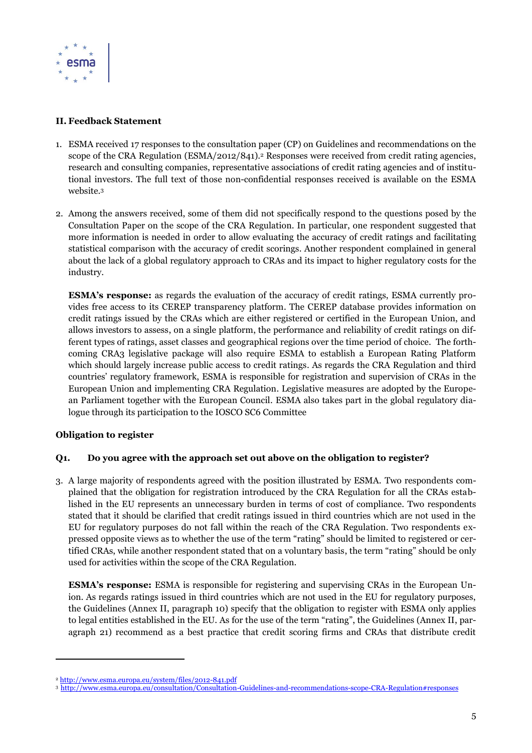

#### **II. Feedback Statement**

- 1. ESMA received 17 responses to the consultation paper (CP) on Guidelines and recommendations on the scope of the CRA Regulation (ESMA/2012/841).<sup>2</sup> Responses were received from credit rating agencies, research and consulting companies, representative associations of credit rating agencies and of institutional investors. The full text of those non-confidential responses received is available on the ESMA website.<sup>3</sup>
- 2. Among the answers received, some of them did not specifically respond to the questions posed by the Consultation Paper on the scope of the CRA Regulation. In particular, one respondent suggested that more information is needed in order to allow evaluating the accuracy of credit ratings and facilitating statistical comparison with the accuracy of credit scorings. Another respondent complained in general about the lack of a global regulatory approach to CRAs and its impact to higher regulatory costs for the industry.

**ESMA's response:** as regards the evaluation of the accuracy of credit ratings, ESMA currently provides free access to its CEREP transparency platform. The CEREP database provides information on credit ratings issued by the CRAs which are either registered or certified in the European Union, and allows investors to assess, on a single platform, the performance and reliability of credit ratings on different types of ratings, asset classes and geographical regions over the time period of choice. The forthcoming CRA3 legislative package will also require ESMA to establish a European Rating Platform which should largely increase public access to credit ratings. As regards the CRA Regulation and third countries' regulatory framework, ESMA is responsible for registration and supervision of CRAs in the European Union and implementing CRA Regulation. Legislative measures are adopted by the European Parliament together with the European Council. ESMA also takes part in the global regulatory dialogue through its participation to the IOSCO SC6 Committee

#### **Obligation to register**

 $\overline{a}$ 

#### **Q1. Do you agree with the approach set out above on the obligation to register?**

3. A large majority of respondents agreed with the position illustrated by ESMA. Two respondents complained that the obligation for registration introduced by the CRA Regulation for all the CRAs established in the EU represents an unnecessary burden in terms of cost of compliance. Two respondents stated that it should be clarified that credit ratings issued in third countries which are not used in the EU for regulatory purposes do not fall within the reach of the CRA Regulation. Two respondents expressed opposite views as to whether the use of the term "rating" should be limited to registered or certified CRAs, while another respondent stated that on a voluntary basis, the term "rating" should be only used for activities within the scope of the CRA Regulation.

**ESMA's response:** ESMA is responsible for registering and supervising CRAs in the European Union. As regards ratings issued in third countries which are not used in the EU for regulatory purposes, the Guidelines (Annex II, paragraph 10) specify that the obligation to register with ESMA only applies to legal entities established in the EU. As for the use of the term "rating", the Guidelines (Annex II, paragraph 21) recommend as a best practice that credit scoring firms and CRAs that distribute credit

<sup>2</sup> <http://www.esma.europa.eu/system/files/2012-841.pdf>

<sup>3</sup> <http://www.esma.europa.eu/consultation/Consultation-Guidelines-and-recommendations-scope-CRA-Regulation#responses>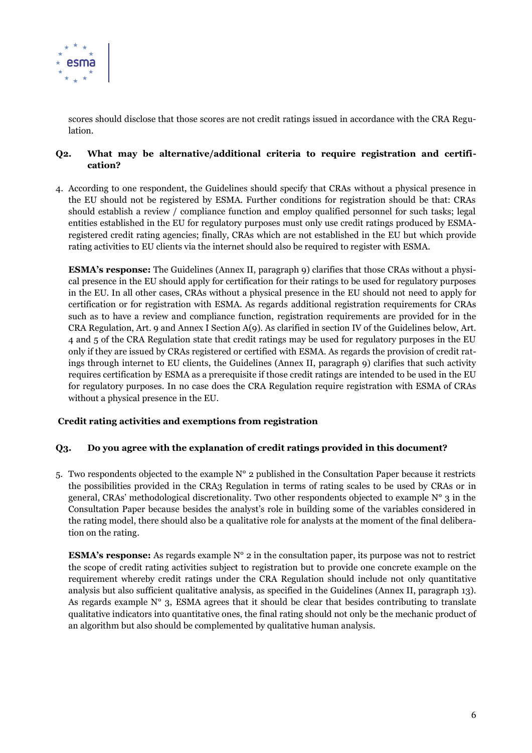

scores should disclose that those scores are not credit ratings issued in accordance with the CRA Regulation.

### **Q2. What may be alternative/additional criteria to require registration and certification?**

4. According to one respondent, the Guidelines should specify that CRAs without a physical presence in the EU should not be registered by ESMA. Further conditions for registration should be that: CRAs should establish a review / compliance function and employ qualified personnel for such tasks; legal entities established in the EU for regulatory purposes must only use credit ratings produced by ESMAregistered credit rating agencies; finally, CRAs which are not established in the EU but which provide rating activities to EU clients via the internet should also be required to register with ESMA.

**ESMA's response:** The Guidelines (Annex II, paragraph 9) clarifies that those CRAs without a physical presence in the EU should apply for certification for their ratings to be used for regulatory purposes in the EU. In all other cases, CRAs without a physical presence in the EU should not need to apply for certification or for registration with ESMA. As regards additional registration requirements for CRAs such as to have a review and compliance function, registration requirements are provided for in the CRA Regulation, Art. 9 and Annex I Section A(9). As clarified in section IV of the Guidelines below, Art. 4 and 5 of the CRA Regulation state that credit ratings may be used for regulatory purposes in the EU only if they are issued by CRAs registered or certified with ESMA. As regards the provision of credit ratings through internet to EU clients, the Guidelines (Annex II, paragraph 9) clarifies that such activity requires certification by ESMA as a prerequisite if those credit ratings are intended to be used in the EU for regulatory purposes. In no case does the CRA Regulation require registration with ESMA of CRAs without a physical presence in the EU.

### **Credit rating activities and exemptions from registration**

#### **Q3. Do you agree with the explanation of credit ratings provided in this document?**

5. Two respondents objected to the example  $N^{\circ}$  2 published in the Consultation Paper because it restricts the possibilities provided in the CRA3 Regulation in terms of rating scales to be used by CRAs or in general, CRAs' methodological discretionality. Two other respondents objected to example N° 3 in the Consultation Paper because besides the analyst's role in building some of the variables considered in the rating model, there should also be a qualitative role for analysts at the moment of the final deliberation on the rating.

**ESMA's response:** As regards example  $N^{\circ}$  2 in the consultation paper, its purpose was not to restrict the scope of credit rating activities subject to registration but to provide one concrete example on the requirement whereby credit ratings under the CRA Regulation should include not only quantitative analysis but also sufficient qualitative analysis, as specified in the Guidelines (Annex II, paragraph 13). As regards example  $N^{\circ}$  3, ESMA agrees that it should be clear that besides contributing to translate qualitative indicators into quantitative ones, the final rating should not only be the mechanic product of an algorithm but also should be complemented by qualitative human analysis.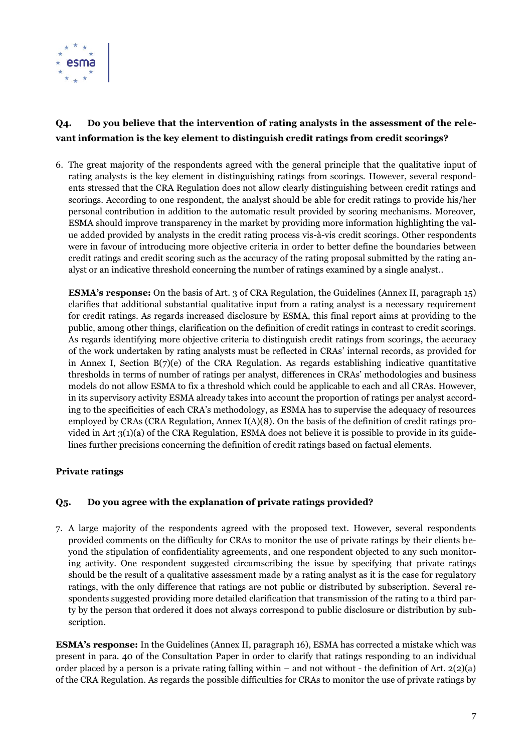

### **Q4. Do you believe that the intervention of rating analysts in the assessment of the relevant information is the key element to distinguish credit ratings from credit scorings?**

6. The great majority of the respondents agreed with the general principle that the qualitative input of rating analysts is the key element in distinguishing ratings from scorings. However, several respondents stressed that the CRA Regulation does not allow clearly distinguishing between credit ratings and scorings. According to one respondent, the analyst should be able for credit ratings to provide his/her personal contribution in addition to the automatic result provided by scoring mechanisms. Moreover, ESMA should improve transparency in the market by providing more information highlighting the value added provided by analysts in the credit rating process vis-à-vis credit scorings. Other respondents were in favour of introducing more objective criteria in order to better define the boundaries between credit ratings and credit scoring such as the accuracy of the rating proposal submitted by the rating analyst or an indicative threshold concerning the number of ratings examined by a single analyst..

**ESMA's response:** On the basis of Art. 3 of CRA Regulation, the Guidelines (Annex II, paragraph 15) clarifies that additional substantial qualitative input from a rating analyst is a necessary requirement for credit ratings. As regards increased disclosure by ESMA, this final report aims at providing to the public, among other things, clarification on the definition of credit ratings in contrast to credit scorings. As regards identifying more objective criteria to distinguish credit ratings from scorings, the accuracy of the work undertaken by rating analysts must be reflected in CRAs' internal records, as provided for in Annex I, Section  $B(7)(e)$  of the CRA Regulation. As regards establishing indicative quantitative thresholds in terms of number of ratings per analyst, differences in CRAs' methodologies and business models do not allow ESMA to fix a threshold which could be applicable to each and all CRAs. However, in its supervisory activity ESMA already takes into account the proportion of ratings per analyst according to the specificities of each CRA's methodology, as ESMA has to supervise the adequacy of resources employed by CRAs (CRA Regulation, Annex I(A)(8). On the basis of the definition of credit ratings provided in Art 3(1)(a) of the CRA Regulation, ESMA does not believe it is possible to provide in its guidelines further precisions concerning the definition of credit ratings based on factual elements.

### **Private ratings**

### **Q5. Do you agree with the explanation of private ratings provided?**

7. A large majority of the respondents agreed with the proposed text. However, several respondents provided comments on the difficulty for CRAs to monitor the use of private ratings by their clients beyond the stipulation of confidentiality agreements, and one respondent objected to any such monitoring activity. One respondent suggested circumscribing the issue by specifying that private ratings should be the result of a qualitative assessment made by a rating analyst as it is the case for regulatory ratings, with the only difference that ratings are not public or distributed by subscription. Several respondents suggested providing more detailed clarification that transmission of the rating to a third party by the person that ordered it does not always correspond to public disclosure or distribution by subscription.

**ESMA's response:** In the Guidelines (Annex II, paragraph 16), ESMA has corrected a mistake which was present in para. 40 of the Consultation Paper in order to clarify that ratings responding to an individual order placed by a person is a private rating falling within – and not without - the definition of Art.  $2(2)(a)$ of the CRA Regulation. As regards the possible difficulties for CRAs to monitor the use of private ratings by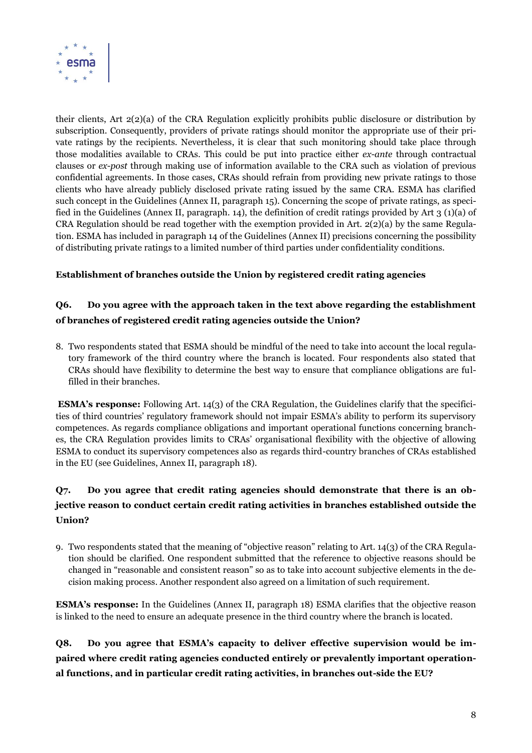

their clients, Art 2(2)(a) of the CRA Regulation explicitly prohibits public disclosure or distribution by subscription. Consequently, providers of private ratings should monitor the appropriate use of their private ratings by the recipients. Nevertheless, it is clear that such monitoring should take place through those modalities available to CRAs. This could be put into practice either *ex-ante* through contractual clauses or *ex-post* through making use of information available to the CRA such as violation of previous confidential agreements. In those cases, CRAs should refrain from providing new private ratings to those clients who have already publicly disclosed private rating issued by the same CRA. ESMA has clarified such concept in the Guidelines (Annex II, paragraph 15). Concerning the scope of private ratings, as specified in the Guidelines (Annex II, paragraph. 14), the definition of credit ratings provided by Art 3 (1)(a) of CRA Regulation should be read together with the exemption provided in Art.  $2(2)(a)$  by the same Regulation. ESMA has included in paragraph 14 of the Guidelines (Annex II) precisions concerning the possibility of distributing private ratings to a limited number of third parties under confidentiality conditions.

### **Establishment of branches outside the Union by registered credit rating agencies**

### **Q6. Do you agree with the approach taken in the text above regarding the establishment of branches of registered credit rating agencies outside the Union?**

8. Two respondents stated that ESMA should be mindful of the need to take into account the local regulatory framework of the third country where the branch is located. Four respondents also stated that CRAs should have flexibility to determine the best way to ensure that compliance obligations are fulfilled in their branches.

**ESMA's response:** Following Art. 14(3) of the CRA Regulation, the Guidelines clarify that the specificities of third countries' regulatory framework should not impair ESMA's ability to perform its supervisory competences. As regards compliance obligations and important operational functions concerning branches, the CRA Regulation provides limits to CRAs' organisational flexibility with the objective of allowing ESMA to conduct its supervisory competences also as regards third-country branches of CRAs established in the EU (see Guidelines, Annex II, paragraph 18).

### **Q7. Do you agree that credit rating agencies should demonstrate that there is an objective reason to conduct certain credit rating activities in branches established outside the Union?**

9. Two respondents stated that the meaning of "objective reason" relating to Art. 14(3) of the CRA Regulation should be clarified. One respondent submitted that the reference to objective reasons should be changed in "reasonable and consistent reason" so as to take into account subjective elements in the decision making process. Another respondent also agreed on a limitation of such requirement.

**ESMA's response:** In the Guidelines (Annex II, paragraph 18) ESMA clarifies that the objective reason is linked to the need to ensure an adequate presence in the third country where the branch is located.

**Q8. Do you agree that ESMA's capacity to deliver effective supervision would be impaired where credit rating agencies conducted entirely or prevalently important operational functions, and in particular credit rating activities, in branches out-side the EU?**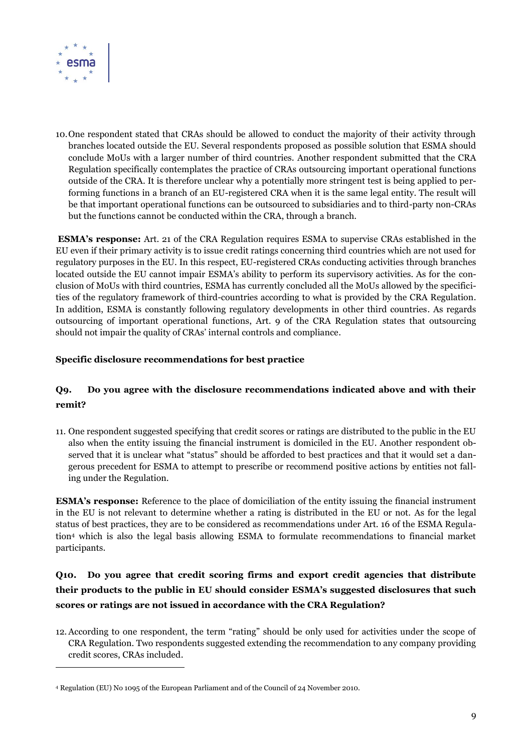

 $\overline{a}$ 

10.One respondent stated that CRAs should be allowed to conduct the majority of their activity through branches located outside the EU. Several respondents proposed as possible solution that ESMA should conclude MoUs with a larger number of third countries. Another respondent submitted that the CRA Regulation specifically contemplates the practice of CRAs outsourcing important operational functions outside of the CRA. It is therefore unclear why a potentially more stringent test is being applied to performing functions in a branch of an EU-registered CRA when it is the same legal entity. The result will be that important operational functions can be outsourced to subsidiaries and to third-party non-CRAs but the functions cannot be conducted within the CRA, through a branch.

**ESMA's response:** Art. 21 of the CRA Regulation requires ESMA to supervise CRAs established in the EU even if their primary activity is to issue credit ratings concerning third countries which are not used for regulatory purposes in the EU. In this respect, EU-registered CRAs conducting activities through branches located outside the EU cannot impair ESMA's ability to perform its supervisory activities. As for the conclusion of MoUs with third countries, ESMA has currently concluded all the MoUs allowed by the specificities of the regulatory framework of third-countries according to what is provided by the CRA Regulation. In addition, ESMA is constantly following regulatory developments in other third countries. As regards outsourcing of important operational functions, Art. 9 of the CRA Regulation states that outsourcing should not impair the quality of CRAs' internal controls and compliance.

### **Specific disclosure recommendations for best practice**

### **Q9. Do you agree with the disclosure recommendations indicated above and with their remit?**

11. One respondent suggested specifying that credit scores or ratings are distributed to the public in the EU also when the entity issuing the financial instrument is domiciled in the EU. Another respondent observed that it is unclear what "status" should be afforded to best practices and that it would set a dangerous precedent for ESMA to attempt to prescribe or recommend positive actions by entities not falling under the Regulation.

**ESMA's response:** Reference to the place of domiciliation of the entity issuing the financial instrument in the EU is not relevant to determine whether a rating is distributed in the EU or not. As for the legal status of best practices, they are to be considered as recommendations under Art. 16 of the ESMA Regulation<sup>4</sup> which is also the legal basis allowing ESMA to formulate recommendations to financial market participants.

### **Q10. Do you agree that credit scoring firms and export credit agencies that distribute their products to the public in EU should consider ESMA's suggested disclosures that such scores or ratings are not issued in accordance with the CRA Regulation?**

12.According to one respondent, the term "rating" should be only used for activities under the scope of CRA Regulation. Two respondents suggested extending the recommendation to any company providing credit scores, CRAs included.

<sup>4</sup> Regulation (EU) No 1095 of the European Parliament and of the Council of 24 November 2010.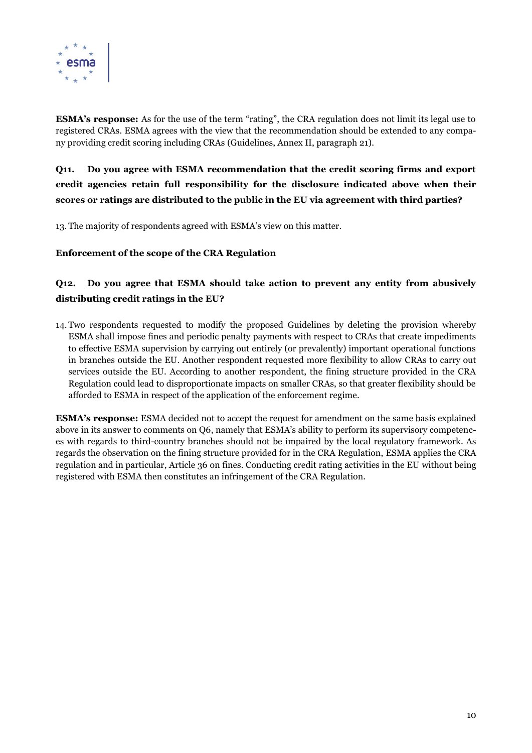

**ESMA's response:** As for the use of the term "rating", the CRA regulation does not limit its legal use to registered CRAs. ESMA agrees with the view that the recommendation should be extended to any company providing credit scoring including CRAs (Guidelines, Annex II, paragraph 21).

**Q11. Do you agree with ESMA recommendation that the credit scoring firms and export credit agencies retain full responsibility for the disclosure indicated above when their scores or ratings are distributed to the public in the EU via agreement with third parties?**

13. The majority of respondents agreed with ESMA's view on this matter.

**Enforcement of the scope of the CRA Regulation**

### **Q12. Do you agree that ESMA should take action to prevent any entity from abusively distributing credit ratings in the EU?**

14.Two respondents requested to modify the proposed Guidelines by deleting the provision whereby ESMA shall impose fines and periodic penalty payments with respect to CRAs that create impediments to effective ESMA supervision by carrying out entirely (or prevalently) important operational functions in branches outside the EU. Another respondent requested more flexibility to allow CRAs to carry out services outside the EU. According to another respondent, the fining structure provided in the CRA Regulation could lead to disproportionate impacts on smaller CRAs, so that greater flexibility should be afforded to ESMA in respect of the application of the enforcement regime.

**ESMA's response:** ESMA decided not to accept the request for amendment on the same basis explained above in its answer to comments on Q6, namely that ESMA's ability to perform its supervisory competences with regards to third-country branches should not be impaired by the local regulatory framework. As regards the observation on the fining structure provided for in the CRA Regulation, ESMA applies the CRA regulation and in particular, Article 36 on fines. Conducting credit rating activities in the EU without being registered with ESMA then constitutes an infringement of the CRA Regulation.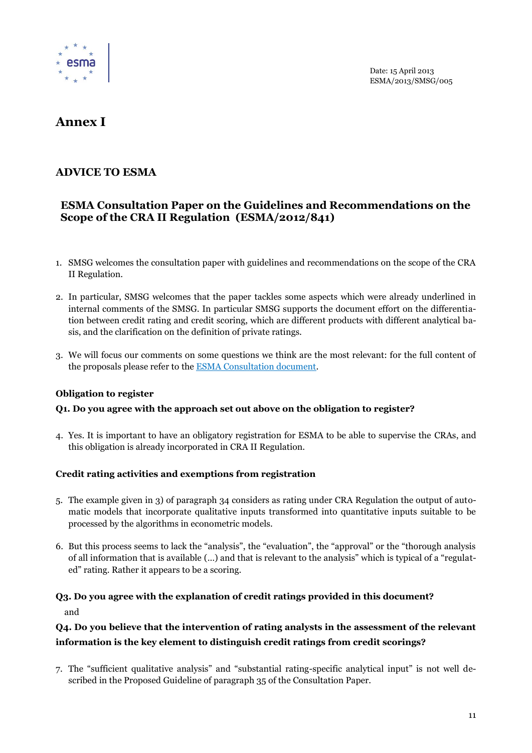

Date: 15 April 2013 ESMA/2013/SMSG/005

## **Annex I**

### **ADVICE TO ESMA**

### **ESMA Consultation Paper on the Guidelines and Recommendations on the Scope of the CRA II Regulation (ESMA/2012/841)**

- 1. SMSG welcomes the consultation paper with guidelines and recommendations on the scope of the CRA II Regulation.
- 2. In particular, SMSG welcomes that the paper tackles some aspects which were already underlined in internal comments of the SMSG. In particular SMSG supports the document effort on the differentiation between credit rating and credit scoring, which are different products with different analytical basis, and the clarification on the definition of private ratings.
- 3. We will focus our comments on some questions we think are the most relevant: for the full content of the proposals please refer to [the ESMA Consultation document.](http://www.esma.europa.eu/system/files/2012-841.pdf)

### **Obligation to register**

### **Q1. Do you agree with the approach set out above on the obligation to register?**

4. Yes. It is important to have an obligatory registration for ESMA to be able to supervise the CRAs, and this obligation is already incorporated in CRA II Regulation.

#### **Credit rating activities and exemptions from registration**

- 5. The example given in 3) of paragraph 34 considers as rating under CRA Regulation the output of automatic models that incorporate qualitative inputs transformed into quantitative inputs suitable to be processed by the algorithms in econometric models.
- 6. But this process seems to lack the "analysis", the "evaluation", the "approval" or the "thorough analysis of all information that is available (…) and that is relevant to the analysis" which is typical of a "regulated" rating. Rather it appears to be a scoring.

### **Q3. Do you agree with the explanation of credit ratings provided in this document?**  and

### **Q4. Do you believe that the intervention of rating analysts in the assessment of the relevant information is the key element to distinguish credit ratings from credit scorings?**

7. The "sufficient qualitative analysis" and "substantial rating-specific analytical input" is not well described in the Proposed Guideline of paragraph 35 of the Consultation Paper.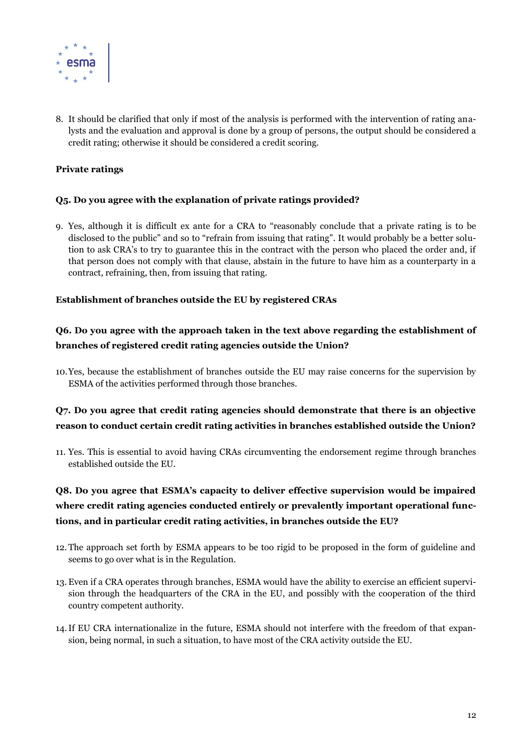

8. It should be clarified that only if most of the analysis is performed with the intervention of rating analysts and the evaluation and approval is done by a group of persons, the output should be considered a credit rating; otherwise it should be considered a credit scoring.

### **Private ratings**

#### **Q5. Do you agree with the explanation of private ratings provided?**

9. Yes, although it is difficult ex ante for a CRA to "reasonably conclude that a private rating is to be disclosed to the public" and so to "refrain from issuing that rating". It would probably be a better solution to ask CRA's to try to guarantee this in the contract with the person who placed the order and, if that person does not comply with that clause, abstain in the future to have him as a counterparty in a contract, refraining, then, from issuing that rating.

#### **Establishment of branches outside the EU by registered CRAs**

### **Q6. Do you agree with the approach taken in the text above regarding the establishment of branches of registered credit rating agencies outside the Union?**

10.Yes, because the establishment of branches outside the EU may raise concerns for the supervision by ESMA of the activities performed through those branches.

### **Q7. Do you agree that credit rating agencies should demonstrate that there is an objective reason to conduct certain credit rating activities in branches established outside the Union?**

11. Yes. This is essential to avoid having CRAs circumventing the endorsement regime through branches established outside the EU.

### **Q8. Do you agree that ESMA's capacity to deliver effective supervision would be impaired where credit rating agencies conducted entirely or prevalently important operational functions, and in particular credit rating activities, in branches outside the EU?**

- 12. The approach set forth by ESMA appears to be too rigid to be proposed in the form of guideline and seems to go over what is in the Regulation.
- 13. Even if a CRA operates through branches, ESMA would have the ability to exercise an efficient supervision through the headquarters of the CRA in the EU, and possibly with the cooperation of the third country competent authority.
- 14.If EU CRA internationalize in the future, ESMA should not interfere with the freedom of that expansion, being normal, in such a situation, to have most of the CRA activity outside the EU.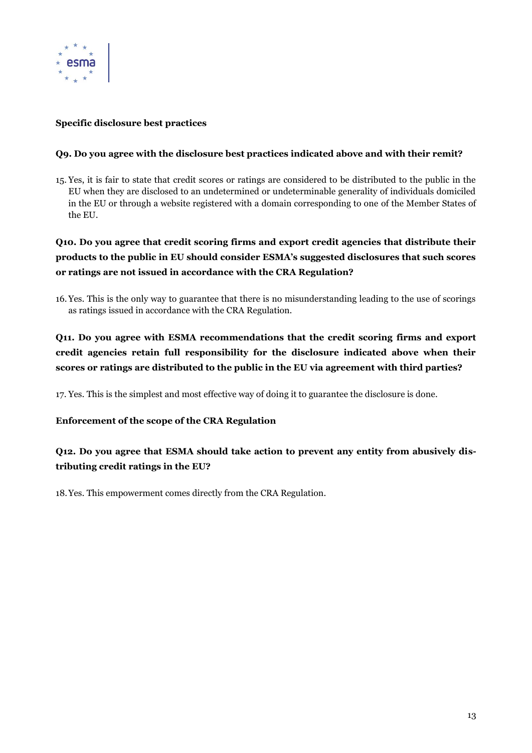

### **Specific disclosure best practices**

### **Q9. Do you agree with the disclosure best practices indicated above and with their remit?**

15. Yes, it is fair to state that credit scores or ratings are considered to be distributed to the public in the EU when they are disclosed to an undetermined or undeterminable generality of individuals domiciled in the EU or through a website registered with a domain corresponding to one of the Member States of the EU.

**Q10. Do you agree that credit scoring firms and export credit agencies that distribute their products to the public in EU should consider ESMA's suggested disclosures that such scores or ratings are not issued in accordance with the CRA Regulation?** 

16.Yes. This is the only way to guarantee that there is no misunderstanding leading to the use of scorings as ratings issued in accordance with the CRA Regulation.

### **Q11. Do you agree with ESMA recommendations that the credit scoring firms and export credit agencies retain full responsibility for the disclosure indicated above when their scores or ratings are distributed to the public in the EU via agreement with third parties?**

17. Yes. This is the simplest and most effective way of doing it to guarantee the disclosure is done.

### **Enforcement of the scope of the CRA Regulation**

### **Q12. Do you agree that ESMA should take action to prevent any entity from abusively distributing credit ratings in the EU?**

18.Yes. This empowerment comes directly from the CRA Regulation.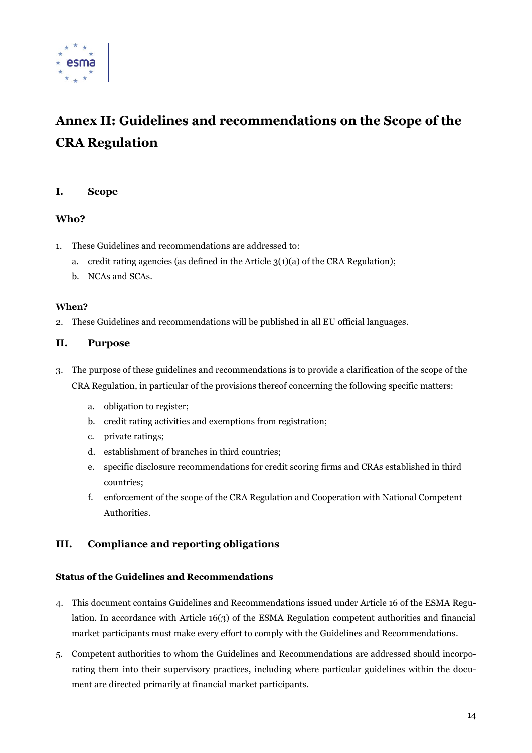

# **Annex II: Guidelines and recommendations on the Scope of the CRA Regulation**

### **I. Scope**

### **Who?**

- 1. These Guidelines and recommendations are addressed to:
	- a. credit rating agencies (as defined in the Article  $3(1)(a)$  of the CRA Regulation);
	- b. NCAs and SCAs.

#### **When?**

2. These Guidelines and recommendations will be published in all EU official languages.

### **II. Purpose**

- 3. The purpose of these guidelines and recommendations is to provide a clarification of the scope of the CRA Regulation, in particular of the provisions thereof concerning the following specific matters:
	- a. obligation to register;
	- b. credit rating activities and exemptions from registration;
	- c. private ratings;
	- d. establishment of branches in third countries;
	- e. specific disclosure recommendations for credit scoring firms and CRAs established in third countries;
	- f. enforcement of the scope of the CRA Regulation and Cooperation with National Competent Authorities.

### **III. Compliance and reporting obligations**

### **Status of the Guidelines and Recommendations**

- 4. This document contains Guidelines and Recommendations issued under Article 16 of the ESMA Regulation. In accordance with Article 16(3) of the ESMA Regulation competent authorities and financial market participants must make every effort to comply with the Guidelines and Recommendations.
- 5. Competent authorities to whom the Guidelines and Recommendations are addressed should incorporating them into their supervisory practices, including where particular guidelines within the document are directed primarily at financial market participants.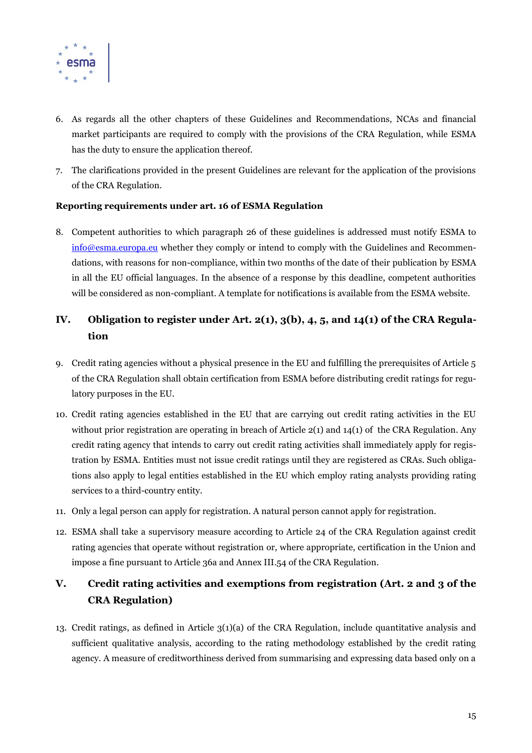

- 6. As regards all the other chapters of these Guidelines and Recommendations, NCAs and financial market participants are required to comply with the provisions of the CRA Regulation, while ESMA has the duty to ensure the application thereof.
- 7. The clarifications provided in the present Guidelines are relevant for the application of the provisions of the CRA Regulation.

#### **Reporting requirements under art. 16 of ESMA Regulation**

8. Competent authorities to which paragraph 26 of these guidelines is addressed must notify ESMA to [info@esma.europa.eu](mailto:info@esma.europa.eu) whether they comply or intend to comply with the Guidelines and Recommendations, with reasons for non-compliance, within two months of the date of their publication by ESMA in all the EU official languages. In the absence of a response by this deadline, competent authorities will be considered as non-compliant. A template for notifications is available from the ESMA website.

### **IV. Obligation to register under Art. 2(1), 3(b), 4, 5, and 14(1) of the CRA Regulation**

- 9. Credit rating agencies without a physical presence in the EU and fulfilling the prerequisites of Article 5 of the CRA Regulation shall obtain certification from ESMA before distributing credit ratings for regulatory purposes in the EU.
- 10. Credit rating agencies established in the EU that are carrying out credit rating activities in the EU without prior registration are operating in breach of Article 2(1) and 14(1) of the CRA Regulation. Any credit rating agency that intends to carry out credit rating activities shall immediately apply for registration by ESMA. Entities must not issue credit ratings until they are registered as CRAs. Such obligations also apply to legal entities established in the EU which employ rating analysts providing rating services to a third-country entity.
- 11. Only a legal person can apply for registration. A natural person cannot apply for registration.
- 12. ESMA shall take a supervisory measure according to Article 24 of the CRA Regulation against credit rating agencies that operate without registration or, where appropriate, certification in the Union and impose a fine pursuant to Article 36a and Annex III.54 of the CRA Regulation.

### **V. Credit rating activities and exemptions from registration (Art. 2 and 3 of the CRA Regulation)**

13. Credit ratings, as defined in Article 3(1)(a) of the CRA Regulation, include quantitative analysis and sufficient qualitative analysis, according to the rating methodology established by the credit rating agency. A measure of creditworthiness derived from summarising and expressing data based only on a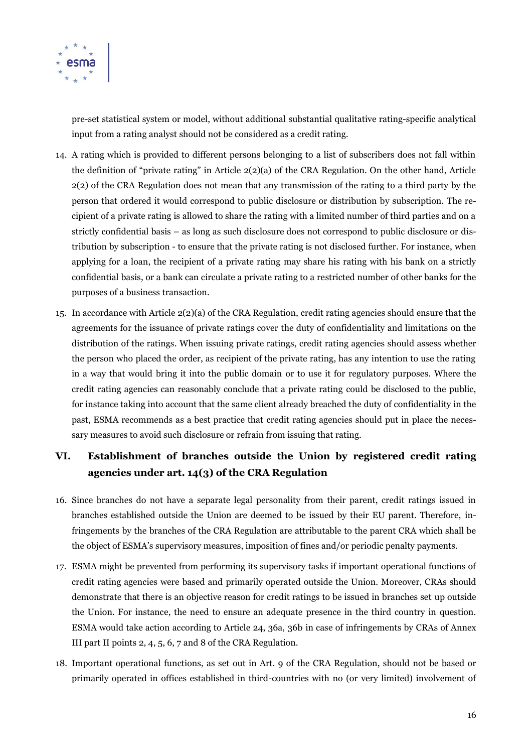

pre-set statistical system or model, without additional substantial qualitative rating-specific analytical input from a rating analyst should not be considered as a credit rating.

- 14. A rating which is provided to different persons belonging to a list of subscribers does not fall within the definition of "private rating" in Article 2(2)(a) of the CRA Regulation. On the other hand, Article 2(2) of the CRA Regulation does not mean that any transmission of the rating to a third party by the person that ordered it would correspond to public disclosure or distribution by subscription. The recipient of a private rating is allowed to share the rating with a limited number of third parties and on a strictly confidential basis – as long as such disclosure does not correspond to public disclosure or distribution by subscription - to ensure that the private rating is not disclosed further. For instance, when applying for a loan, the recipient of a private rating may share his rating with his bank on a strictly confidential basis, or a bank can circulate a private rating to a restricted number of other banks for the purposes of a business transaction.
- 15. In accordance with Article 2(2)(a) of the CRA Regulation, credit rating agencies should ensure that the agreements for the issuance of private ratings cover the duty of confidentiality and limitations on the distribution of the ratings. When issuing private ratings, credit rating agencies should assess whether the person who placed the order, as recipient of the private rating, has any intention to use the rating in a way that would bring it into the public domain or to use it for regulatory purposes. Where the credit rating agencies can reasonably conclude that a private rating could be disclosed to the public, for instance taking into account that the same client already breached the duty of confidentiality in the past, ESMA recommends as a best practice that credit rating agencies should put in place the necessary measures to avoid such disclosure or refrain from issuing that rating.

### **VI. Establishment of branches outside the Union by registered credit rating agencies under art. 14(3) of the CRA Regulation**

- 16. Since branches do not have a separate legal personality from their parent, credit ratings issued in branches established outside the Union are deemed to be issued by their EU parent. Therefore, infringements by the branches of the CRA Regulation are attributable to the parent CRA which shall be the object of ESMA's supervisory measures, imposition of fines and/or periodic penalty payments.
- 17. ESMA might be prevented from performing its supervisory tasks if important operational functions of credit rating agencies were based and primarily operated outside the Union. Moreover, CRAs should demonstrate that there is an objective reason for credit ratings to be issued in branches set up outside the Union. For instance, the need to ensure an adequate presence in the third country in question. ESMA would take action according to Article 24, 36a, 36b in case of infringements by CRAs of Annex III part II points 2, 4, 5, 6, 7 and 8 of the CRA Regulation.
- 18. Important operational functions, as set out in Art. 9 of the CRA Regulation, should not be based or primarily operated in offices established in third-countries with no (or very limited) involvement of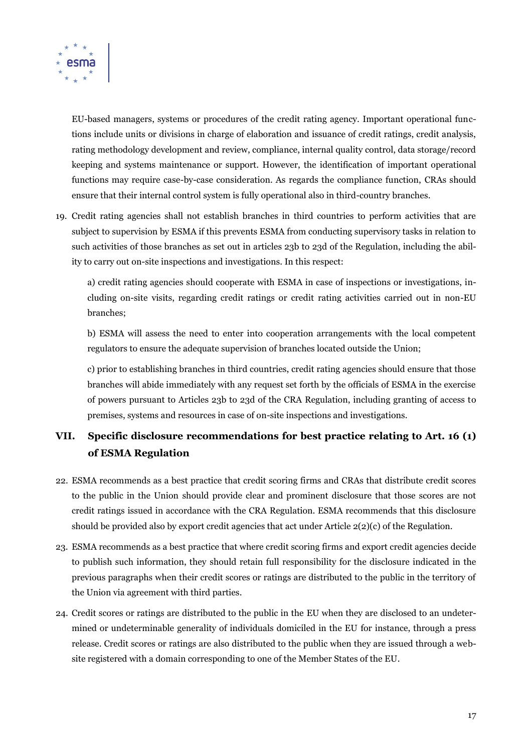

EU-based managers, systems or procedures of the credit rating agency. Important operational functions include units or divisions in charge of elaboration and issuance of credit ratings, credit analysis, rating methodology development and review, compliance, internal quality control, data storage/record keeping and systems maintenance or support. However, the identification of important operational functions may require case-by-case consideration. As regards the compliance function, CRAs should ensure that their internal control system is fully operational also in third-country branches.

19. Credit rating agencies shall not establish branches in third countries to perform activities that are subject to supervision by ESMA if this prevents ESMA from conducting supervisory tasks in relation to such activities of those branches as set out in articles 23b to 23d of the Regulation, including the ability to carry out on-site inspections and investigations. In this respect:

a) credit rating agencies should cooperate with ESMA in case of inspections or investigations, including on-site visits, regarding credit ratings or credit rating activities carried out in non-EU branches;

b) ESMA will assess the need to enter into cooperation arrangements with the local competent regulators to ensure the adequate supervision of branches located outside the Union;

c) prior to establishing branches in third countries, credit rating agencies should ensure that those branches will abide immediately with any request set forth by the officials of ESMA in the exercise of powers pursuant to Articles 23b to 23d of the CRA Regulation, including granting of access to premises, systems and resources in case of on-site inspections and investigations.

### **VII. Specific disclosure recommendations for best practice relating to Art. 16 (1) of ESMA Regulation**

- 22. ESMA recommends as a best practice that credit scoring firms and CRAs that distribute credit scores to the public in the Union should provide clear and prominent disclosure that those scores are not credit ratings issued in accordance with the CRA Regulation. ESMA recommends that this disclosure should be provided also by export credit agencies that act under Article  $2(2)(c)$  of the Regulation.
- 23. ESMA recommends as a best practice that where credit scoring firms and export credit agencies decide to publish such information, they should retain full responsibility for the disclosure indicated in the previous paragraphs when their credit scores or ratings are distributed to the public in the territory of the Union via agreement with third parties.
- 24. Credit scores or ratings are distributed to the public in the EU when they are disclosed to an undetermined or undeterminable generality of individuals domiciled in the EU for instance, through a press release. Credit scores or ratings are also distributed to the public when they are issued through a website registered with a domain corresponding to one of the Member States of the EU.